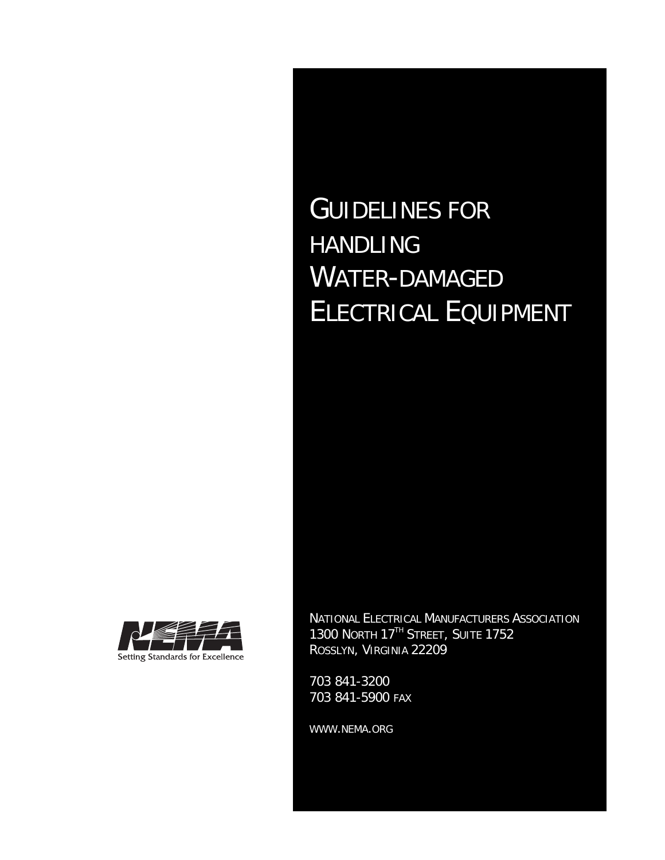# GUIDELINES FOR HANDLING WATER-DAMAGED ELECTRICAL EQUIPMENT



NATIONAL ELECTRICAL MANUFACTURERS ASSOCIATION 1300 NORTH 17<sup>TH</sup> STREET, SUITE 1752 ROSSLYN, VIRGINIA 22209

703 841-3200 703 841-5900 FAX

WWW.NEMA.ORG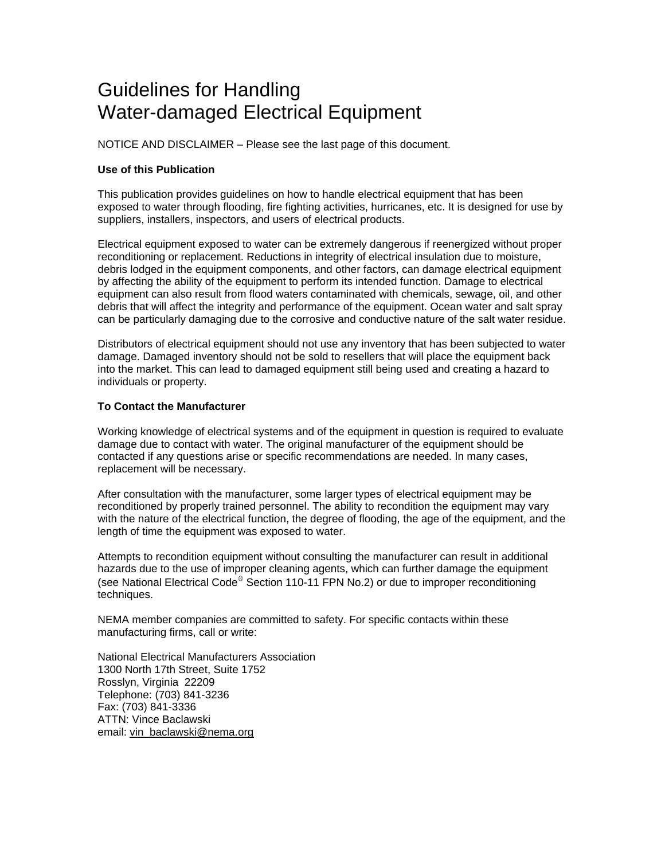# Guidelines for Handling Water-damaged Electrical Equipment

NOTICE AND DISCLAIMER – Please see the last page of this document.

# **Use of this Publication**

This publication provides guidelines on how to handle electrical equipment that has been exposed to water through flooding, fire fighting activities, hurricanes, etc. It is designed for use by suppliers, installers, inspectors, and users of electrical products.

Electrical equipment exposed to water can be extremely dangerous if reenergized without proper reconditioning or replacement. Reductions in integrity of electrical insulation due to moisture, debris lodged in the equipment components, and other factors, can damage electrical equipment by affecting the ability of the equipment to perform its intended function. Damage to electrical equipment can also result from flood waters contaminated with chemicals, sewage, oil, and other debris that will affect the integrity and performance of the equipment. Ocean water and salt spray can be particularly damaging due to the corrosive and conductive nature of the salt water residue.

Distributors of electrical equipment should not use any inventory that has been subjected to water damage. Damaged inventory should not be sold to resellers that will place the equipment back into the market. This can lead to damaged equipment still being used and creating a hazard to individuals or property.

#### **To Contact the Manufacturer**

Working knowledge of electrical systems and of the equipment in question is required to evaluate damage due to contact with water. The original manufacturer of the equipment should be contacted if any questions arise or specific recommendations are needed. In many cases, replacement will be necessary.

After consultation with the manufacturer, some larger types of electrical equipment may be reconditioned by properly trained personnel. The ability to recondition the equipment may vary with the nature of the electrical function, the degree of flooding, the age of the equipment, and the length of time the equipment was exposed to water.

Attempts to recondition equipment without consulting the manufacturer can result in additional hazards due to the use of improper cleaning agents, which can further damage the equipment (see National Electrical Code® Section 110-11 FPN No.2) or due to improper reconditioning techniques.

NEMA member companies are committed to safety. For specific contacts within these manufacturing firms, call or write:

National Electrical Manufacturers Association 1300 North 17th Street, Suite 1752 Rosslyn, Virginia 22209 Telephone: (703) 841-3236 Fax: (703) 841-3336 ATTN: Vince Baclawski email: vin\_baclawski@nema.org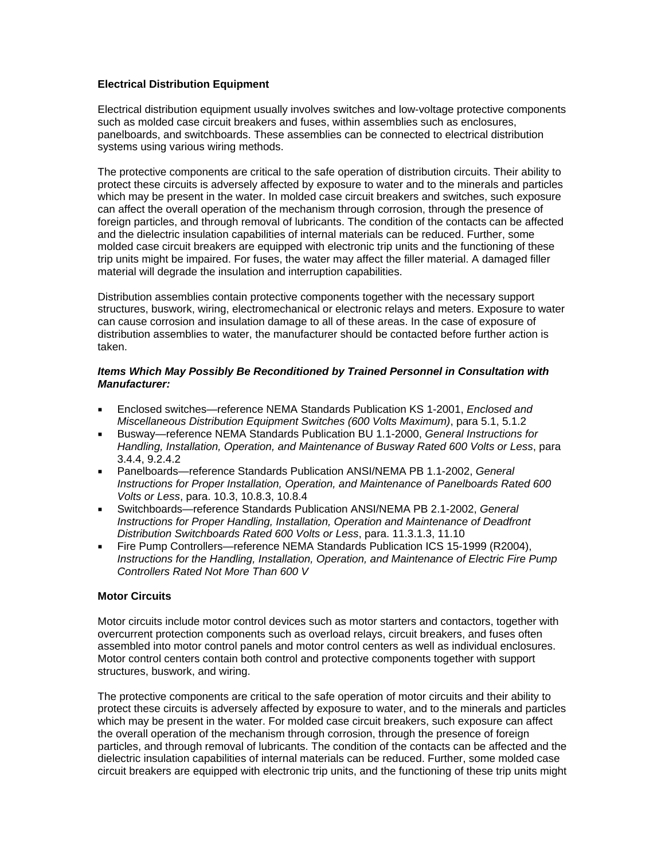#### **Electrical Distribution Equipment**

Electrical distribution equipment usually involves switches and low-voltage protective components such as molded case circuit breakers and fuses, within assemblies such as enclosures, panelboards, and switchboards. These assemblies can be connected to electrical distribution systems using various wiring methods.

The protective components are critical to the safe operation of distribution circuits. Their ability to protect these circuits is adversely affected by exposure to water and to the minerals and particles which may be present in the water. In molded case circuit breakers and switches, such exposure can affect the overall operation of the mechanism through corrosion, through the presence of foreign particles, and through removal of lubricants. The condition of the contacts can be affected and the dielectric insulation capabilities of internal materials can be reduced. Further, some molded case circuit breakers are equipped with electronic trip units and the functioning of these trip units might be impaired. For fuses, the water may affect the filler material. A damaged filler material will degrade the insulation and interruption capabilities.

Distribution assemblies contain protective components together with the necessary support structures, buswork, wiring, electromechanical or electronic relays and meters. Exposure to water can cause corrosion and insulation damage to all of these areas. In the case of exposure of distribution assemblies to water, the manufacturer should be contacted before further action is taken.

#### *Items Which May Possibly Be Reconditioned by Trained Personnel in Consultation with Manufacturer:*

- Enclosed switches—reference NEMA Standards Publication KS 1-2001, *Enclosed and Miscellaneous Distribution Equipment Switches (600 Volts Maximum)*, para 5.1, 5.1.2
- Busway—reference NEMA Standards Publication BU 1.1-2000, *General Instructions for Handling, Installation, Operation, and Maintenance of Busway Rated 600 Volts or Less*, para 3.4.4, 9.2.4.2
- Panelboards—reference Standards Publication ANSI/NEMA PB 1.1-2002, *General Instructions for Proper Installation, Operation, and Maintenance of Panelboards Rated 600 Volts or Less*, para. 10.3, 10.8.3, 10.8.4
- Switchboards—reference Standards Publication ANSI/NEMA PB 2.1-2002, *General Instructions for Proper Handling, Installation, Operation and Maintenance of Deadfront Distribution Switchboards Rated 600 Volts or Less*, para. 11.3.1.3, 11.10
- Fire Pump Controllers—reference NEMA Standards Publication ICS 15-1999 (R2004), *Instructions for the Handling, Installation, Operation, and Maintenance of Electric Fire Pump Controllers Rated Not More Than 600 V*

#### **Motor Circuits**

Motor circuits include motor control devices such as motor starters and contactors, together with overcurrent protection components such as overload relays, circuit breakers, and fuses often assembled into motor control panels and motor control centers as well as individual enclosures. Motor control centers contain both control and protective components together with support structures, buswork, and wiring.

The protective components are critical to the safe operation of motor circuits and their ability to protect these circuits is adversely affected by exposure to water, and to the minerals and particles which may be present in the water. For molded case circuit breakers, such exposure can affect the overall operation of the mechanism through corrosion, through the presence of foreign particles, and through removal of lubricants. The condition of the contacts can be affected and the dielectric insulation capabilities of internal materials can be reduced. Further, some molded case circuit breakers are equipped with electronic trip units, and the functioning of these trip units might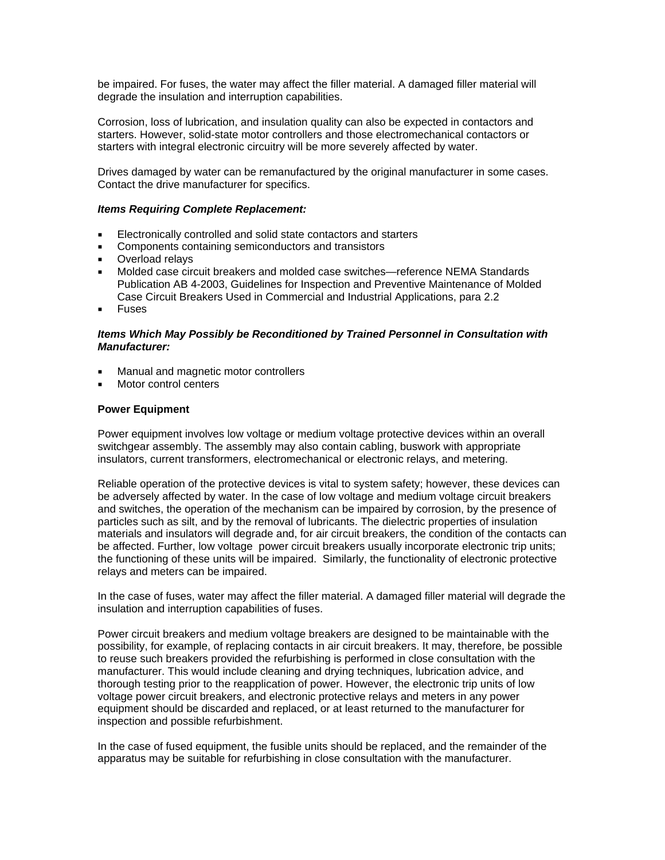be impaired. For fuses, the water may affect the filler material. A damaged filler material will degrade the insulation and interruption capabilities.

Corrosion, loss of lubrication, and insulation quality can also be expected in contactors and starters. However, solid-state motor controllers and those electromechanical contactors or starters with integral electronic circuitry will be more severely affected by water.

Drives damaged by water can be remanufactured by the original manufacturer in some cases. Contact the drive manufacturer for specifics.

#### *Items Requiring Complete Replacement:*

- Electronically controlled and solid state contactors and starters
- **Components containing semiconductors and transistors**
- **D**verload relays
- Molded case circuit breakers and molded case switches—reference NEMA Standards Publication AB 4-2003, Guidelines for Inspection and Preventive Maintenance of Molded Case Circuit Breakers Used in Commercial and Industrial Applications, para 2.2
- Fuses

#### *Items Which May Possibly be Reconditioned by Trained Personnel in Consultation with Manufacturer:*

- Manual and magnetic motor controllers
- Motor control centers

#### **Power Equipment**

Power equipment involves low voltage or medium voltage protective devices within an overall switchgear assembly. The assembly may also contain cabling, buswork with appropriate insulators, current transformers, electromechanical or electronic relays, and metering.

Reliable operation of the protective devices is vital to system safety; however, these devices can be adversely affected by water. In the case of low voltage and medium voltage circuit breakers and switches, the operation of the mechanism can be impaired by corrosion, by the presence of particles such as silt, and by the removal of lubricants. The dielectric properties of insulation materials and insulators will degrade and, for air circuit breakers, the condition of the contacts can be affected. Further, low voltage power circuit breakers usually incorporate electronic trip units; the functioning of these units will be impaired. Similarly, the functionality of electronic protective relays and meters can be impaired.

In the case of fuses, water may affect the filler material. A damaged filler material will degrade the insulation and interruption capabilities of fuses.

Power circuit breakers and medium voltage breakers are designed to be maintainable with the possibility, for example, of replacing contacts in air circuit breakers. It may, therefore, be possible to reuse such breakers provided the refurbishing is performed in close consultation with the manufacturer. This would include cleaning and drying techniques, lubrication advice, and thorough testing prior to the reapplication of power. However, the electronic trip units of low voltage power circuit breakers, and electronic protective relays and meters in any power equipment should be discarded and replaced, or at least returned to the manufacturer for inspection and possible refurbishment.

In the case of fused equipment, the fusible units should be replaced, and the remainder of the apparatus may be suitable for refurbishing in close consultation with the manufacturer.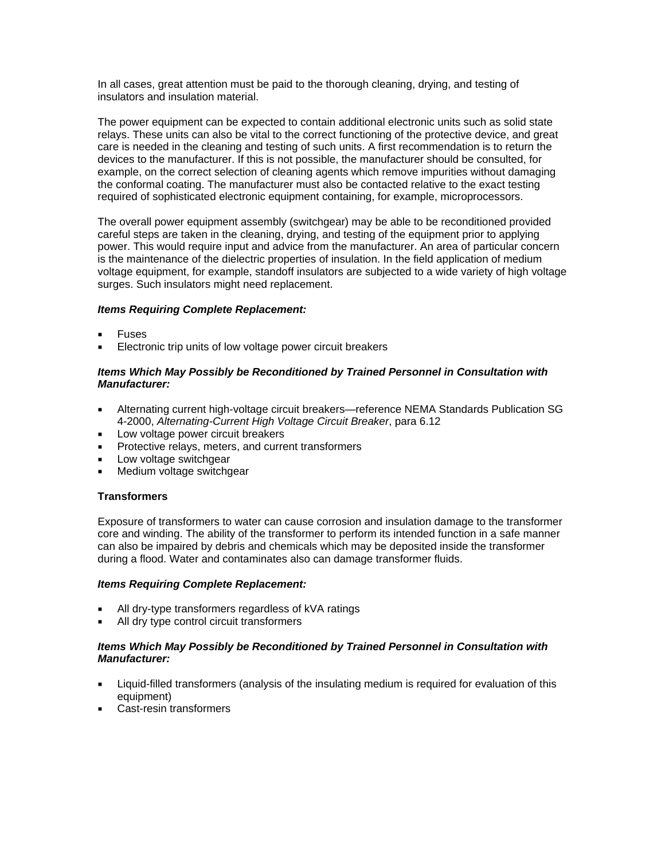In all cases, great attention must be paid to the thorough cleaning, drying, and testing of insulators and insulation material.

The power equipment can be expected to contain additional electronic units such as solid state relays. These units can also be vital to the correct functioning of the protective device, and great care is needed in the cleaning and testing of such units. A first recommendation is to return the devices to the manufacturer. If this is not possible, the manufacturer should be consulted, for example, on the correct selection of cleaning agents which remove impurities without damaging the conformal coating. The manufacturer must also be contacted relative to the exact testing required of sophisticated electronic equipment containing, for example, microprocessors.

The overall power equipment assembly (switchgear) may be able to be reconditioned provided careful steps are taken in the cleaning, drying, and testing of the equipment prior to applying power. This would require input and advice from the manufacturer. An area of particular concern is the maintenance of the dielectric properties of insulation. In the field application of medium voltage equipment, for example, standoff insulators are subjected to a wide variety of high voltage surges. Such insulators might need replacement.

#### *Items Requiring Complete Replacement:*

- Fuses
- Electronic trip units of low voltage power circuit breakers

#### *Items Which May Possibly be Reconditioned by Trained Personnel in Consultation with Manufacturer:*

- Alternating current high-voltage circuit breakers—reference NEMA Standards Publication SG 4-2000, *Alternating-Current High Voltage Circuit Breaker*, para 6.12
- **Low voltage power circuit breakers**
- Protective relays, meters, and current transformers
- **Low voltage switchgear**
- **Medium voltage switchgear**

# **Transformers**

Exposure of transformers to water can cause corrosion and insulation damage to the transformer core and winding. The ability of the transformer to perform its intended function in a safe manner can also be impaired by debris and chemicals which may be deposited inside the transformer during a flood. Water and contaminates also can damage transformer fluids.

#### *Items Requiring Complete Replacement:*

- All dry-type transformers regardless of kVA ratings
- All dry type control circuit transformers

#### *Items Which May Possibly be Reconditioned by Trained Personnel in Consultation with Manufacturer:*

- Liquid-filled transformers (analysis of the insulating medium is required for evaluation of this equipment)
- Cast-resin transformers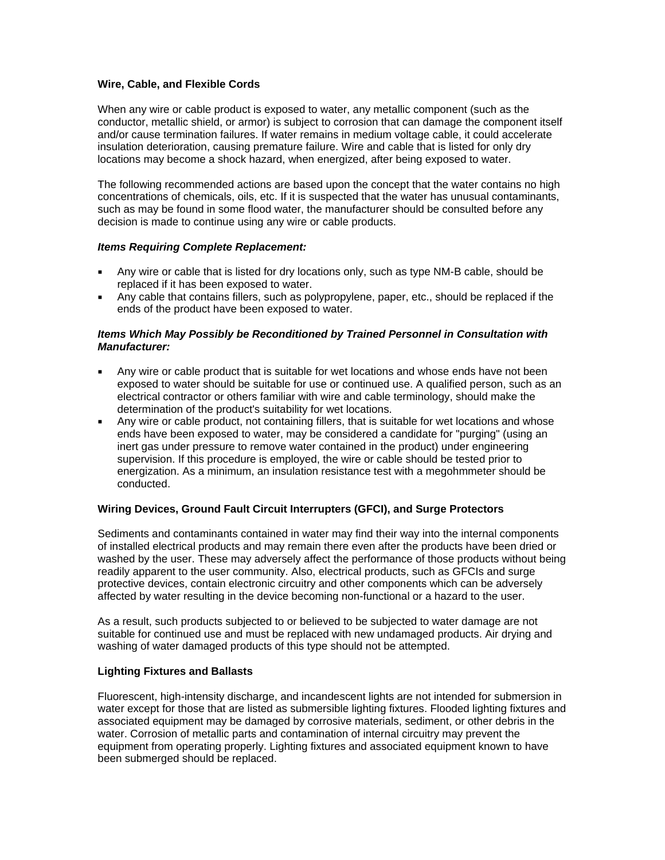#### **Wire, Cable, and Flexible Cords**

When any wire or cable product is exposed to water, any metallic component (such as the conductor, metallic shield, or armor) is subject to corrosion that can damage the component itself and/or cause termination failures. If water remains in medium voltage cable, it could accelerate insulation deterioration, causing premature failure. Wire and cable that is listed for only dry locations may become a shock hazard, when energized, after being exposed to water.

The following recommended actions are based upon the concept that the water contains no high concentrations of chemicals, oils, etc. If it is suspected that the water has unusual contaminants, such as may be found in some flood water, the manufacturer should be consulted before any decision is made to continue using any wire or cable products.

#### *Items Requiring Complete Replacement:*

- Any wire or cable that is listed for dry locations only, such as type NM-B cable, should be replaced if it has been exposed to water.
- Any cable that contains fillers, such as polypropylene, paper, etc., should be replaced if the ends of the product have been exposed to water.

#### *Items Which May Possibly be Reconditioned by Trained Personnel in Consultation with Manufacturer:*

- Any wire or cable product that is suitable for wet locations and whose ends have not been exposed to water should be suitable for use or continued use. A qualified person, such as an electrical contractor or others familiar with wire and cable terminology, should make the determination of the product's suitability for wet locations.
- Any wire or cable product, not containing fillers, that is suitable for wet locations and whose ends have been exposed to water, may be considered a candidate for "purging" (using an inert gas under pressure to remove water contained in the product) under engineering supervision. If this procedure is employed, the wire or cable should be tested prior to energization. As a minimum, an insulation resistance test with a megohmmeter should be conducted.

# **Wiring Devices, Ground Fault Circuit Interrupters (GFCI), and Surge Protectors**

Sediments and contaminants contained in water may find their way into the internal components of installed electrical products and may remain there even after the products have been dried or washed by the user. These may adversely affect the performance of those products without being readily apparent to the user community. Also, electrical products, such as GFCIs and surge protective devices, contain electronic circuitry and other components which can be adversely affected by water resulting in the device becoming non-functional or a hazard to the user.

As a result, such products subjected to or believed to be subjected to water damage are not suitable for continued use and must be replaced with new undamaged products. Air drying and washing of water damaged products of this type should not be attempted.

#### **Lighting Fixtures and Ballasts**

Fluorescent, high-intensity discharge, and incandescent lights are not intended for submersion in water except for those that are listed as submersible lighting fixtures. Flooded lighting fixtures and associated equipment may be damaged by corrosive materials, sediment, or other debris in the water. Corrosion of metallic parts and contamination of internal circuitry may prevent the equipment from operating properly. Lighting fixtures and associated equipment known to have been submerged should be replaced.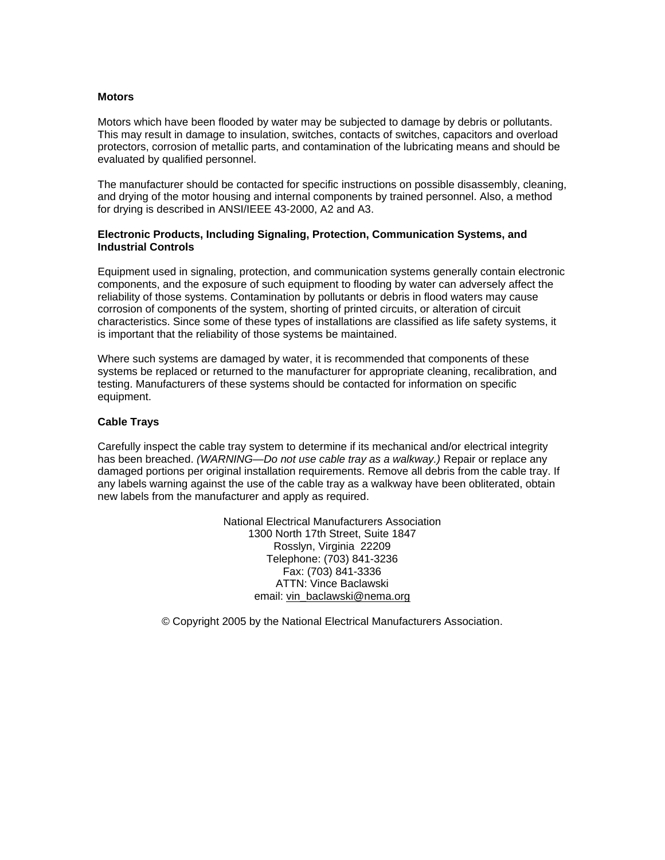#### **Motors**

Motors which have been flooded by water may be subjected to damage by debris or pollutants. This may result in damage to insulation, switches, contacts of switches, capacitors and overload protectors, corrosion of metallic parts, and contamination of the lubricating means and should be evaluated by qualified personnel.

The manufacturer should be contacted for specific instructions on possible disassembly, cleaning, and drying of the motor housing and internal components by trained personnel. Also, a method for drying is described in ANSI/IEEE 43-2000, A2 and A3.

#### **Electronic Products, Including Signaling, Protection, Communication Systems, and Industrial Controls**

Equipment used in signaling, protection, and communication systems generally contain electronic components, and the exposure of such equipment to flooding by water can adversely affect the reliability of those systems. Contamination by pollutants or debris in flood waters may cause corrosion of components of the system, shorting of printed circuits, or alteration of circuit characteristics. Since some of these types of installations are classified as life safety systems, it is important that the reliability of those systems be maintained.

Where such systems are damaged by water, it is recommended that components of these systems be replaced or returned to the manufacturer for appropriate cleaning, recalibration, and testing. Manufacturers of these systems should be contacted for information on specific equipment.

#### **Cable Trays**

Carefully inspect the cable tray system to determine if its mechanical and/or electrical integrity has been breached. *(WARNING—Do not use cable tray as a walkway.)* Repair or replace any damaged portions per original installation requirements. Remove all debris from the cable tray. If any labels warning against the use of the cable tray as a walkway have been obliterated, obtain new labels from the manufacturer and apply as required.

> National Electrical Manufacturers Association 1300 North 17th Street, Suite 1847 Rosslyn, Virginia 22209 Telephone: (703) 841-3236 Fax: (703) 841-3336 ATTN: Vince Baclawski email: vin\_baclawski@nema.org

© Copyright 2005 by the National Electrical Manufacturers Association.